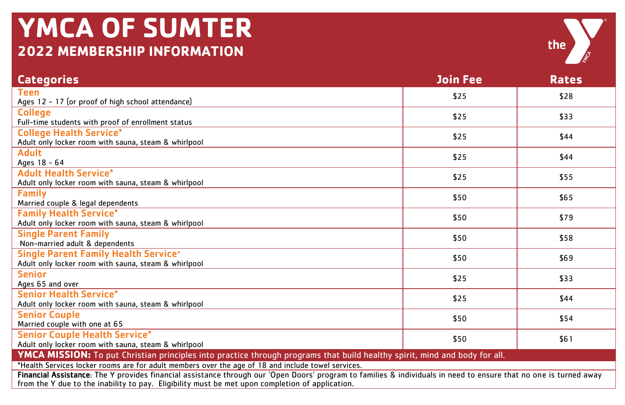# **YMCA OF SUMTER 2022 MEMBERSHIP INFORMATION**



| <b>Categories</b>                                                                                                                                                 | <b>Join Fee</b> | <b>Rates</b> |
|-------------------------------------------------------------------------------------------------------------------------------------------------------------------|-----------------|--------------|
| <b>Teen</b>                                                                                                                                                       | \$25            | \$28         |
| Ages 12 - 17 (or proof of high school attendance)                                                                                                                 |                 |              |
| <b>College</b>                                                                                                                                                    | \$25            | \$33         |
| Full-time students with proof of enrollment status                                                                                                                |                 |              |
| <b>College Health Service*</b>                                                                                                                                    | \$25            | \$44         |
| Adult only locker room with sauna, steam & whirlpool                                                                                                              |                 |              |
| <b>Adult</b>                                                                                                                                                      | \$25            | \$44         |
| Ages 18 - 64                                                                                                                                                      |                 |              |
| <b>Adult Health Service*</b>                                                                                                                                      | \$25            | \$55         |
| Adult only locker room with sauna, steam & whirlpool                                                                                                              |                 |              |
| <b>Family</b>                                                                                                                                                     | \$50            | \$65         |
| Married couple & legal dependents                                                                                                                                 |                 |              |
| <b>Family Health Service*</b>                                                                                                                                     | \$50            | \$79         |
| Adult only locker room with sauna, steam & whirlpool                                                                                                              |                 |              |
| <b>Single Parent Family</b>                                                                                                                                       | \$50            | \$58         |
| Non-married adult & dependents                                                                                                                                    |                 |              |
| <b>Single Parent Family Health Service*</b>                                                                                                                       | \$50            | \$69         |
| Adult only locker room with sauna, steam & whirlpool                                                                                                              |                 |              |
| <b>Senior</b>                                                                                                                                                     | \$25            | \$33         |
| Ages 65 and over                                                                                                                                                  |                 |              |
| <b>Senior Health Service*</b>                                                                                                                                     | \$25            | \$44         |
| Adult only locker room with sauna, steam & whirlpool                                                                                                              |                 |              |
| <b>Senior Couple</b>                                                                                                                                              | \$50            | \$54         |
| Married couple with one at 65                                                                                                                                     |                 |              |
| <b>Senior Couple Health Service*</b>                                                                                                                              | \$50            | \$61         |
| Adult only locker room with sauna, steam & whirlpool                                                                                                              |                 |              |
| YMCA MISSION: To put Christian principles into practice through programs that build healthy spirit, mind and body for all.                                        |                 |              |
| *Health Services locker rooms are for adult members over the age of 18 and include towel services.                                                                |                 |              |
| Financial Assistance: The Y provides financial assistance through our `Open Doors' program to families & individuals in need to ensure that no one is turned away |                 |              |
| from the Y due to the inability to pay. Eligibility must be met upon completion of application.                                                                   |                 |              |